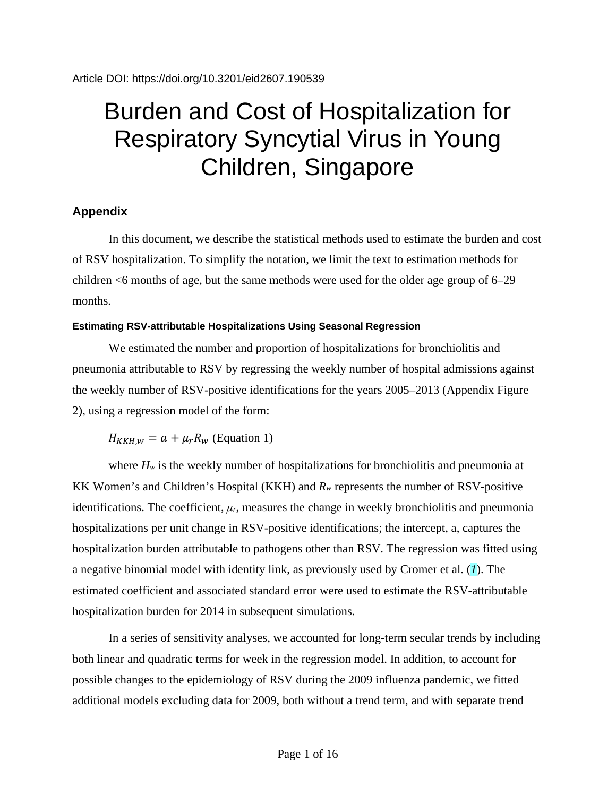# Burden and Cost of Hospitalization for Respiratory Syncytial Virus in Young Children, Singapore

# **Appendix**

In this document, we describe the statistical methods used to estimate the burden and cost of RSV hospitalization. To simplify the notation, we limit the text to estimation methods for children <6 months of age, but the same methods were used for the older age group of 6–29 months.

## **Estimating RSV-attributable Hospitalizations Using Seasonal Regression**

We estimated the number and proportion of hospitalizations for bronchiolitis and pneumonia attributable to RSV by regressing the weekly number of hospital admissions against the weekly number of RSV-positive identifications for the years 2005–2013 (Appendix Figure 2), using a regression model of the form:

 $H_{KKHM} = a + \mu_r R_w$  (Equation 1)

where  $H_w$  is the weekly number of hospitalizations for bronchiolitis and pneumonia at KK Women's and Children's Hospital (KKH) and *Rw* represents the number of RSV-positive identifications. The coefficient,  $\mu_r$ , measures the change in weekly bronchiolitis and pneumonia hospitalizations per unit change in RSV-positive identifications; the intercept, a, captures the hospitalization burden attributable to pathogens other than RSV. The regression was fitted using a negative binomial model with identity link, as previously used by Cromer et al. (*1*). The estimated coefficient and associated standard error were used to estimate the RSV-attributable hospitalization burden for 2014 in subsequent simulations.

In a series of sensitivity analyses, we accounted for long-term secular trends by including both linear and quadratic terms for week in the regression model. In addition, to account for possible changes to the epidemiology of RSV during the 2009 influenza pandemic, we fitted additional models excluding data for 2009, both without a trend term, and with separate trend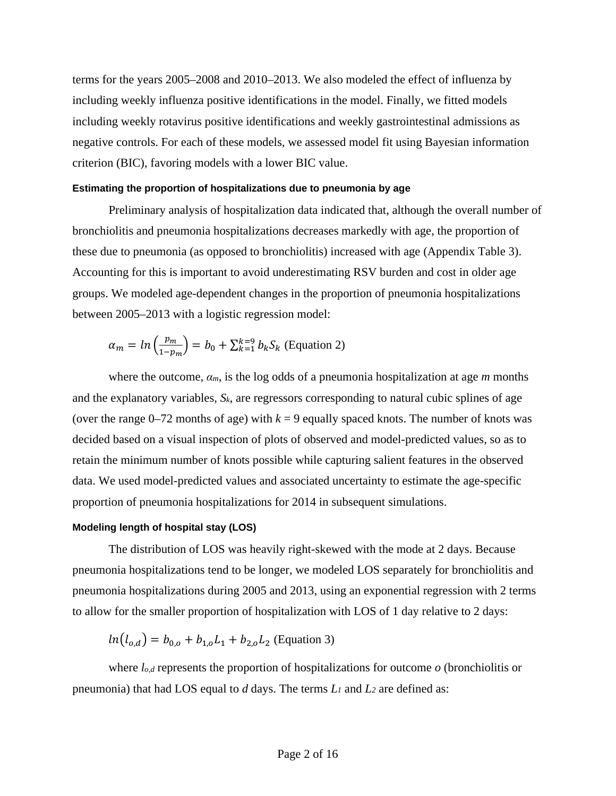terms for the years 2005–2008 and 2010–2013. We also modeled the effect of influenza by including weekly influenza positive identifications in the model. Finally, we fitted models including weekly rotavirus positive identifications and weekly gastrointestinal admissions as negative controls. For each of these models, we assessed model fit using Bayesian information criterion (BIC), favoring models with a lower BIC value.

#### **Estimating the proportion of hospitalizations due to pneumonia by age**

Preliminary analysis of hospitalization data indicated that, although the overall number of bronchiolitis and pneumonia hospitalizations decreases markedly with age, the proportion of these due to pneumonia (as opposed to bronchiolitis) increased with age (Appendix Table 3). Accounting for this is important to avoid underestimating RSV burden and cost in older age groups. We modeled age-dependent changes in the proportion of pneumonia hospitalizations between 2005–2013 with a logistic regression model:

$$
\alpha_m = \ln\left(\frac{p_m}{1 - p_m}\right) = b_0 + \sum_{k=1}^{k=9} b_k S_k
$$
 (Equation 2)

where the outcome, *αm*, is the log odds of a pneumonia hospitalization at age *m* months and the explanatory variables, *Sk*, are regressors corresponding to natural cubic splines of age (over the range  $0-72$  months of age) with  $k = 9$  equally spaced knots. The number of knots was decided based on a visual inspection of plots of observed and model-predicted values, so as to retain the minimum number of knots possible while capturing salient features in the observed data. We used model-predicted values and associated uncertainty to estimate the age-specific proportion of pneumonia hospitalizations for 2014 in subsequent simulations.

#### **Modeling length of hospital stay (LOS)**

The distribution of LOS was heavily right-skewed with the mode at 2 days. Because pneumonia hospitalizations tend to be longer, we modeled LOS separately for bronchiolitis and pneumonia hospitalizations during 2005 and 2013, using an exponential regression with 2 terms to allow for the smaller proportion of hospitalization with LOS of 1 day relative to 2 days:

$$
ln(l_{o,d}) = b_{0,o} + b_{1,o}L_1 + b_{2,o}L_2
$$
 (Equation 3)

where *lo,d* represents the proportion of hospitalizations for outcome *o* (bronchiolitis or pneumonia) that had LOS equal to *d* days. The terms *L1* and *L2* are defined as: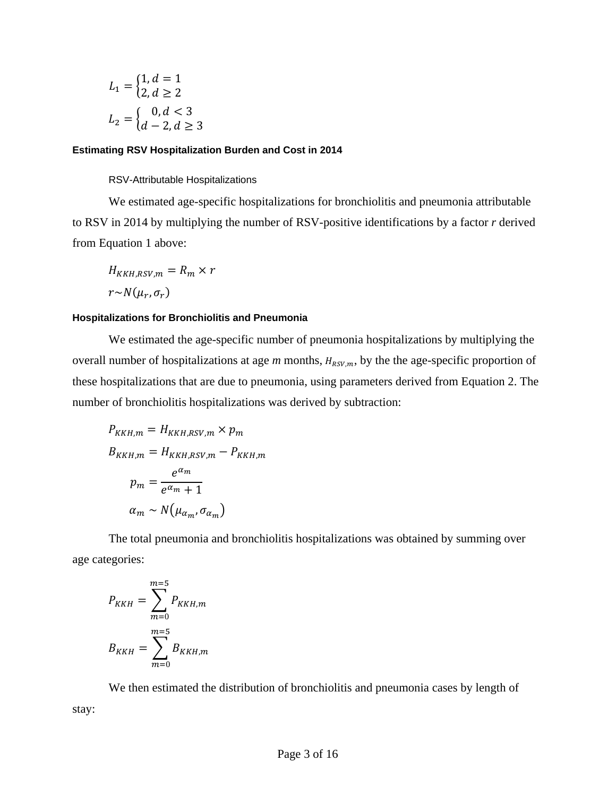$$
L_1 = \begin{cases} 1, d = 1 \\ 2, d \ge 2 \end{cases}
$$
  

$$
L_2 = \begin{cases} 0, d < 3 \\ d - 2, d \ge 3 \end{cases}
$$

#### **Estimating RSV Hospitalization Burden and Cost in 2014**

#### RSV-Attributable Hospitalizations

We estimated age-specific hospitalizations for bronchiolitis and pneumonia attributable to RSV in 2014 by multiplying the number of RSV-positive identifications by a factor *r* derived from Equation 1 above:

$$
H_{KKH,RSV,m} = R_m \times r
$$

$$
r \sim N(\mu_r, \sigma_r)
$$

#### **Hospitalizations for Bronchiolitis and Pneumonia**

We estimated the age-specific number of pneumonia hospitalizations by multiplying the overall number of hospitalizations at age  $m$  months,  $H_{RSV,m}$ , by the the age-specific proportion of these hospitalizations that are due to pneumonia, using parameters derived from Equation 2. The number of bronchiolitis hospitalizations was derived by subtraction:

$$
P_{KKH,m} = H_{KKH,RSV,m} \times p_m
$$
  
\n
$$
B_{KKH,m} = H_{KKH,RSV,m} - P_{KKH,m}
$$
  
\n
$$
p_m = \frac{e^{\alpha_m}}{e^{\alpha_m} + 1}
$$
  
\n
$$
\alpha_m \sim N(\mu_{\alpha_m}, \sigma_{\alpha_m})
$$

The total pneumonia and bronchiolitis hospitalizations was obtained by summing over age categories:

$$
P_{KKH} = \sum_{m=0}^{m=5} P_{KKH,m}
$$

$$
B_{KKH} = \sum_{m=0}^{m=5} B_{KKH,m}
$$

We then estimated the distribution of bronchiolitis and pneumonia cases by length of stay: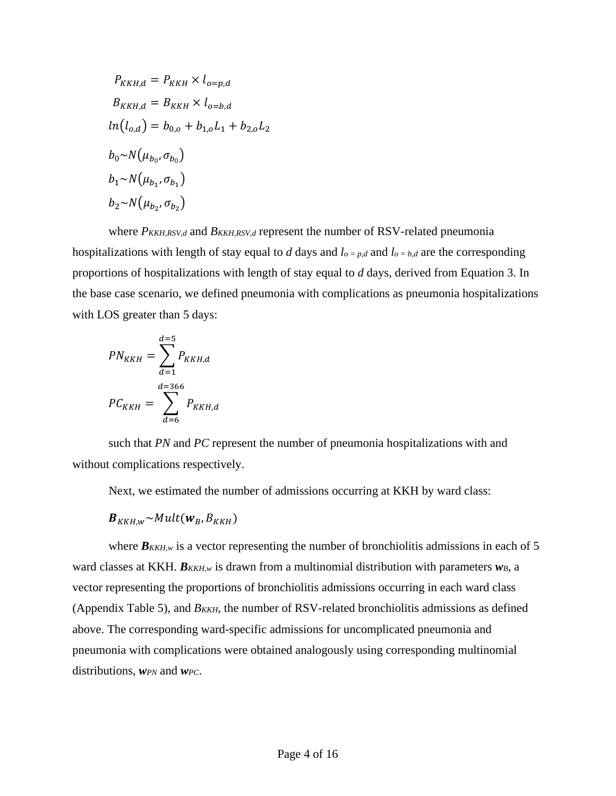$$
P_{KKH,d} = P_{KKH} \times l_{o=p,d}
$$
  
\n
$$
B_{KKH,d} = B_{KKH} \times l_{o=b,d}
$$
  
\n
$$
ln(l_{o,d}) = b_{0,o} + b_{1,o}L_1 + b_{2,o}L_2
$$
  
\n
$$
b_0 \sim N(\mu_{b_0}, \sigma_{b_0})
$$
  
\n
$$
b_1 \sim N(\mu_{b_1}, \sigma_{b_1})
$$
  
\n
$$
b_2 \sim N(\mu_{b_2}, \sigma_{b_2})
$$

where  $P_{KKH,RSV,d}$  and  $B_{KKH,RSV,d}$  represent the number of RSV-related pneumonia hospitalizations with length of stay equal to *d* days and  $l_{o} = p,d$  and  $l_{o} = b,d$  are the corresponding proportions of hospitalizations with length of stay equal to *d* days, derived from Equation 3. In the base case scenario, we defined pneumonia with complications as pneumonia hospitalizations with LOS greater than 5 days:

$$
PN_{KKH} = \sum_{d=1}^{d=5} P_{KKH,d}
$$

$$
PC_{KKH} = \sum_{d=6}^{d=366} P_{KKH,d}
$$

such that *PN* and *PC* represent the number of pneumonia hospitalizations with and without complications respectively.

Next, we estimated the number of admissions occurring at KKH by ward class:

$$
\boldsymbol{B}_{KKH,W} \sim Mult(\boldsymbol{w}_B, B_{KKH})
$$

where  $B_{KKH,w}$  is a vector representing the number of bronchiolitis admissions in each of 5 ward classes at KKH.  $B_{KKH,w}$  is drawn from a multinomial distribution with parameters  $w_B$ , a vector representing the proportions of bronchiolitis admissions occurring in each ward class (Appendix Table 5), and  $B_{KKH}$ , the number of RSV-related bronchiolitis admissions as defined above. The corresponding ward-specific admissions for uncomplicated pneumonia and pneumonia with complications were obtained analogously using corresponding multinomial distributions, *wPN* and *wPC*.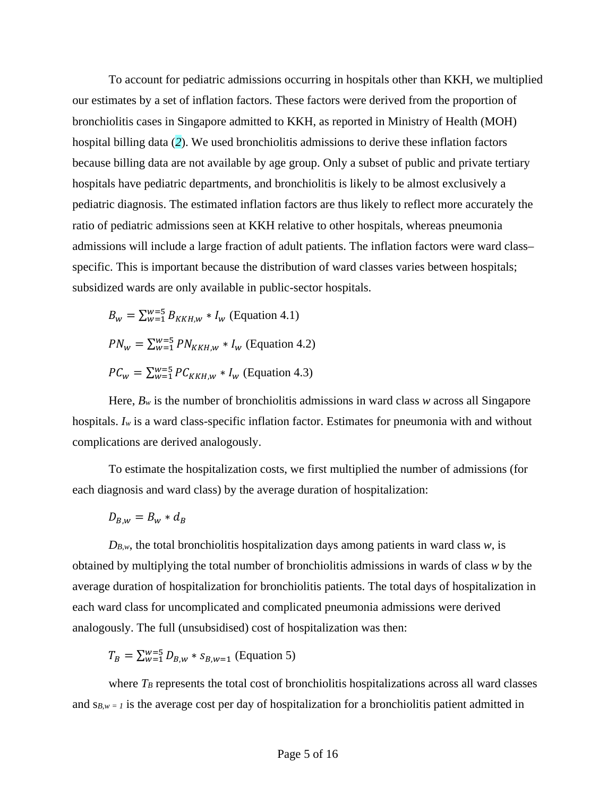To account for pediatric admissions occurring in hospitals other than KKH, we multiplied our estimates by a set of inflation factors. These factors were derived from the proportion of bronchiolitis cases in Singapore admitted to KKH, as reported in Ministry of Health (MOH) hospital billing data (*2*). We used bronchiolitis admissions to derive these inflation factors because billing data are not available by age group. Only a subset of public and private tertiary hospitals have pediatric departments, and bronchiolitis is likely to be almost exclusively a pediatric diagnosis. The estimated inflation factors are thus likely to reflect more accurately the ratio of pediatric admissions seen at KKH relative to other hospitals, whereas pneumonia admissions will include a large fraction of adult patients. The inflation factors were ward class– specific. This is important because the distribution of ward classes varies between hospitals; subsidized wards are only available in public-sector hospitals.

$$
B_w = \sum_{w=1}^{w=5} B_{KKH,w} * I_w
$$
 (Equation 4.1)  

$$
PN_w = \sum_{w=1}^{w=5} PN_{KKH,w} * I_w
$$
 (Equation 4.2)  

$$
PC_w = \sum_{w=1}^{w=5} PC_{KKH,w} * I_w
$$
 (Equation 4.3)

Here,  $B_w$  is the number of bronchiolitis admissions in ward class w across all Singapore hospitals. *Iw* is a ward class-specific inflation factor. Estimates for pneumonia with and without complications are derived analogously.

To estimate the hospitalization costs, we first multiplied the number of admissions (for each diagnosis and ward class) by the average duration of hospitalization:

$$
D_{B,w}=B_w*d_B
$$

 $D_{B,w}$ , the total bronchiolitis hospitalization days among patients in ward class *w*, is obtained by multiplying the total number of bronchiolitis admissions in wards of class *w* by the average duration of hospitalization for bronchiolitis patients. The total days of hospitalization in each ward class for uncomplicated and complicated pneumonia admissions were derived analogously. The full (unsubsidised) cost of hospitalization was then:

$$
T_B = \sum_{w=1}^{w=5} D_{B,w} * s_{B,w=1}
$$
 (Equation 5)

where  $T_B$  represents the total cost of bronchiolitis hospitalizations across all ward classes and  $s_{B,w} = 1$  is the average cost per day of hospitalization for a bronchiolitis patient admitted in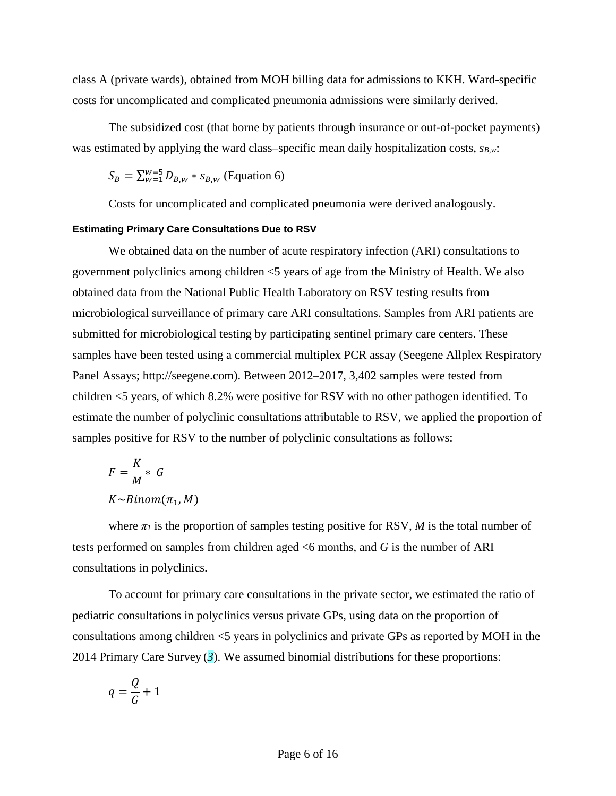class A (private wards), obtained from MOH billing data for admissions to KKH. Ward-specific costs for uncomplicated and complicated pneumonia admissions were similarly derived.

The subsidized cost (that borne by patients through insurance or out-of-pocket payments) was estimated by applying the ward class–specific mean daily hospitalization costs,  $s_{B,w}$ :

$$
S_B = \sum_{w=1}^{w=5} D_{B,w} * s_{B,w}
$$
 (Equation 6)

Costs for uncomplicated and complicated pneumonia were derived analogously.

#### **Estimating Primary Care Consultations Due to RSV**

We obtained data on the number of acute respiratory infection (ARI) consultations to government polyclinics among children <5 years of age from the Ministry of Health. We also obtained data from the National Public Health Laboratory on RSV testing results from microbiological surveillance of primary care ARI consultations. Samples from ARI patients are submitted for microbiological testing by participating sentinel primary care centers. These samples have been tested using a commercial multiplex PCR assay (Seegene Allplex Respiratory Panel Assays; http://seegene.com). Between 2012–2017, 3,402 samples were tested from children <5 years, of which 8.2% were positive for RSV with no other pathogen identified. To estimate the number of polyclinic consultations attributable to RSV, we applied the proportion of samples positive for RSV to the number of polyclinic consultations as follows:

$$
F = \frac{K}{M} * G
$$
  
K \sim Binom(\pi\_1, M)

where  $\pi$ *l* is the proportion of samples testing positive for RSV, *M* is the total number of tests performed on samples from children aged <6 months, and *G* is the number of ARI consultations in polyclinics.

To account for primary care consultations in the private sector, we estimated the ratio of pediatric consultations in polyclinics versus private GPs, using data on the proportion of consultations among children <5 years in polyclinics and private GPs as reported by MOH in the 2014 Primary Care Survey (*3*). We assumed binomial distributions for these proportions:

$$
q = \frac{Q}{G} + 1
$$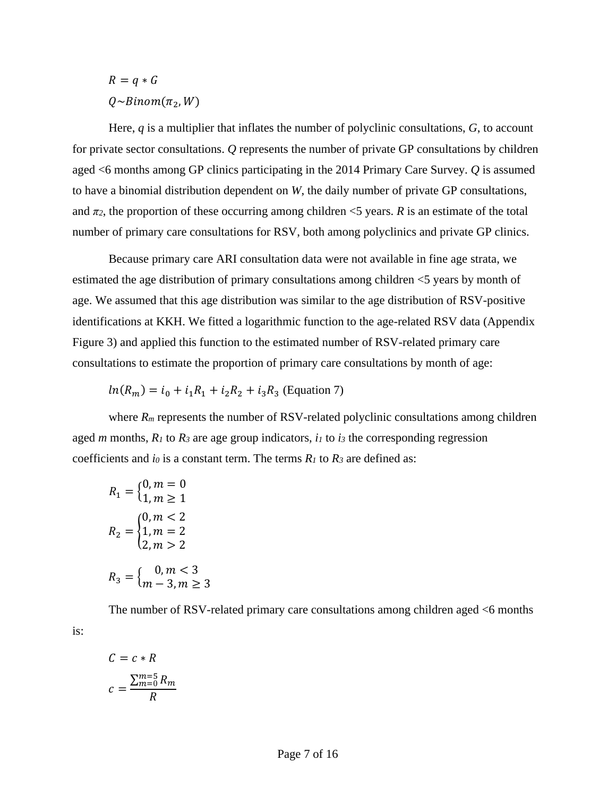$$
R = q * G
$$

$$
Q \sim Binom(\pi_2, W)
$$

Here, *q* is a multiplier that inflates the number of polyclinic consultations, *G*, to account for private sector consultations. *Q* represents the number of private GP consultations by children aged <6 months among GP clinics participating in the 2014 Primary Care Survey. *Q* is assumed to have a binomial distribution dependent on *W*, the daily number of private GP consultations, and  $\pi_2$ , the proportion of these occurring among children  $\leq$ 5 years. *R* is an estimate of the total number of primary care consultations for RSV, both among polyclinics and private GP clinics.

Because primary care ARI consultation data were not available in fine age strata, we estimated the age distribution of primary consultations among children <5 years by month of age. We assumed that this age distribution was similar to the age distribution of RSV-positive identifications at KKH. We fitted a logarithmic function to the age-related RSV data (Appendix Figure 3) and applied this function to the estimated number of RSV-related primary care consultations to estimate the proportion of primary care consultations by month of age:

$$
ln(R_m) = i_0 + i_1R_1 + i_2R_2 + i_3R_3
$$
 (Equation 7)

where  $R_m$  represents the number of RSV-related polyclinic consultations among children aged *m* months,  $R_1$  to  $R_3$  are age group indicators,  $i_1$  to  $i_3$  the corresponding regression coefficients and *i0* is a constant term. The terms *R1* to *R3* are defined as:

$$
R_1 = \begin{cases} 0, m = 0 \\ 1, m \ge 1 \end{cases}
$$
  
\n
$$
R_2 = \begin{cases} 0, m < 2 \\ 1, m = 2 \\ 2, m > 2 \end{cases}
$$
  
\n
$$
R_3 = \begin{cases} 0, m < 3 \\ m - 3, m \ge 3 \end{cases}
$$

The number of RSV-related primary care consultations among children aged <6 months

$$
C = c * R
$$

$$
c = \frac{\sum_{m=0}^{m=5} R_m}{R}
$$

is: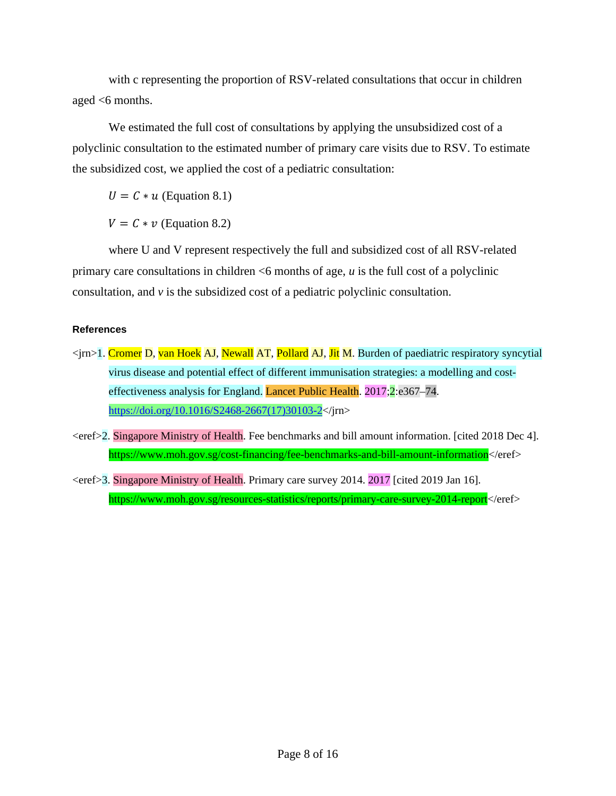with c representing the proportion of RSV-related consultations that occur in children aged  $<6$  months.

We estimated the full cost of consultations by applying the unsubsidized cost of a polyclinic consultation to the estimated number of primary care visits due to RSV. To estimate the subsidized cost, we applied the cost of a pediatric consultation:

 $U = C * u$  (Equation 8.1)

 $V = C * v$  (Equation 8.2)

where U and V represent respectively the full and subsidized cost of all RSV-related primary care consultations in children <6 months of age, *u* is the full cost of a polyclinic consultation, and *v* is the subsidized cost of a pediatric polyclinic consultation.

## **References**

- <jrn>1. Cromer D, van Hoek AJ, Newall AT, Pollard AJ, Jit M. Burden of paediatric respiratory syncytial virus disease and potential effect of different immunisation strategies: a modelling and costeffectiveness analysis for England. Lancet Public Health. 2017;2:e367–74. https://<u>doi.org/10.1016/S2468-2667(17)30103-2</u></jrn>
- <eref>2. Singapore Ministry of Health. Fee benchmarks and bill amount information. [cited 2018 Dec 4]. https://www.moh.gov.sg/cost-financing/fee-benchmarks-and-bill-amount-information</eref>
- <eref>3. Singapore Ministry of Health. Primary care survey 2014. 2017 [cited 2019 Jan 16]. https://www.moh.gov.sg/resources-statistics/reports/primary-care-survey-2014-report</eref>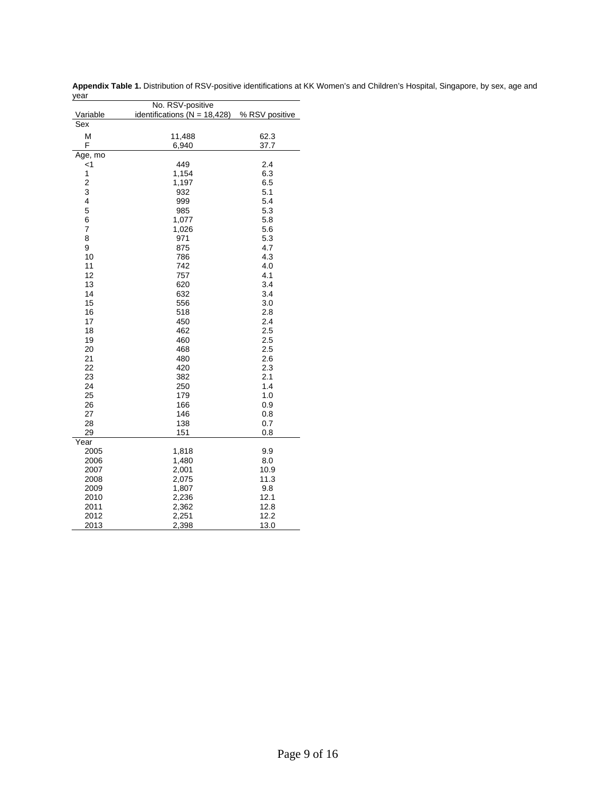| No. RSV-positive |                                  |                |  |  |  |  |
|------------------|----------------------------------|----------------|--|--|--|--|
| Variable         | identifications ( $N = 18,428$ ) | % RSV positive |  |  |  |  |
| Sex              |                                  |                |  |  |  |  |
| M                | 11,488                           | 62.3           |  |  |  |  |
| F                | 6,940                            | 37.7           |  |  |  |  |
| Age, mo          |                                  |                |  |  |  |  |
| $\leq$ 1         | 449                              | 2.4            |  |  |  |  |
| 1                | 1,154                            | 6.3            |  |  |  |  |
| $\overline{c}$   | 1,197                            | 6.5            |  |  |  |  |
| 3                | 932                              | 5.1            |  |  |  |  |
| $\overline{4}$   | 999                              | 5.4            |  |  |  |  |
| 5                | 985                              | 5.3            |  |  |  |  |
| 6                | 1,077                            | 5.8            |  |  |  |  |
| $\overline{7}$   | 1,026                            | 5.6            |  |  |  |  |
| 8                | 971                              | 5.3            |  |  |  |  |
| 9                | 875                              | 4.7            |  |  |  |  |
| 10               | 786                              | 4.3            |  |  |  |  |
| 11               | 742                              | 4.0            |  |  |  |  |
| 12               | 757                              | 4.1            |  |  |  |  |
| 13               | 620                              | 3.4            |  |  |  |  |
| 14               | 632                              | 3.4            |  |  |  |  |
| 15               | 556                              | 3.0            |  |  |  |  |
| 16               | 518                              | 2.8            |  |  |  |  |
| 17               | 450                              | 2.4            |  |  |  |  |
| 18               | 462                              | 2.5            |  |  |  |  |
| 19               | 460                              | 2.5            |  |  |  |  |
| 20               | 468                              | 2.5            |  |  |  |  |
| 21               | 480                              | 2.6            |  |  |  |  |
| 22<br>23         | 420<br>382                       | 2.3<br>2.1     |  |  |  |  |
| 24               | 250                              | 1.4            |  |  |  |  |
| 25               | 179                              | 1.0            |  |  |  |  |
| 26               | 166                              | 0.9            |  |  |  |  |
| 27               | 146                              | 0.8            |  |  |  |  |
| 28               | 138                              | 0.7            |  |  |  |  |
| 29               | 151                              | 0.8            |  |  |  |  |
| Year             |                                  |                |  |  |  |  |
| 2005             | 1,818                            | 9.9            |  |  |  |  |
| 2006             | 1,480                            | 8.0            |  |  |  |  |
| 2007             | 2,001                            | 10.9           |  |  |  |  |
| 2008             | 2,075                            | 11.3           |  |  |  |  |
| 2009             | 1,807                            | 9.8            |  |  |  |  |
| 2010             | 2,236                            | 12.1           |  |  |  |  |
| 2011             | 2,362                            | 12.8           |  |  |  |  |
| 2012             | 2,251                            | 12.2           |  |  |  |  |
| 2013             | 2,398                            | 13.0           |  |  |  |  |

**Appendix Table 1.** Distribution of RSV-positive identifications at KK Women's and Children's Hospital, Singapore, by sex, age and year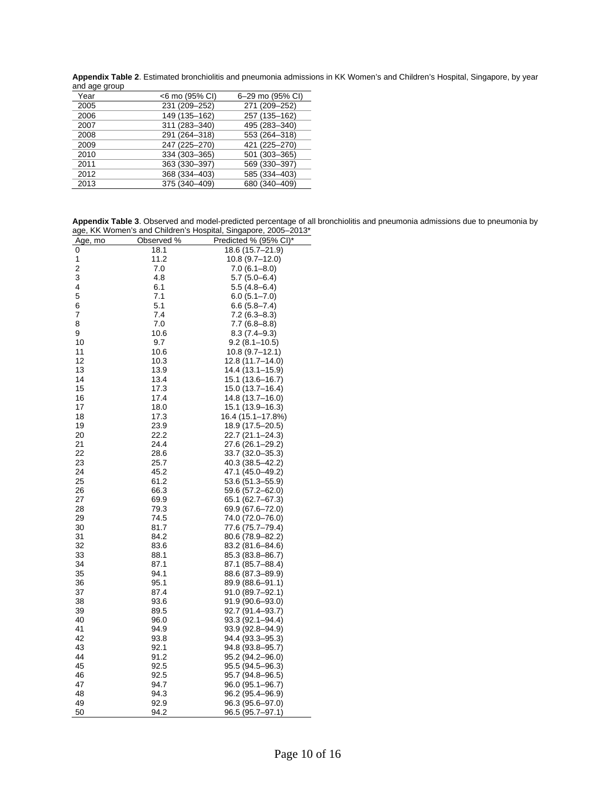**Appendix Table 2**. Estimated bronchiolitis and pneumonia admissions in KK Women's and Children's Hospital, Singapore, by year and age group

| anu ayu yruup |                |                  |
|---------------|----------------|------------------|
| Year          | <6 mo (95% CI) | 6-29 mo (95% CI) |
| 2005          | 231 (209-252)  | 271 (209-252)    |
| 2006          | 149 (135-162)  | 257 (135-162)    |
| 2007          | 311 (283-340)  | 495 (283-340)    |
| 2008          | 291 (264-318)  | 553 (264-318)    |
| 2009          | 247 (225-270)  | 421 (225-270)    |
| 2010          | 334 (303-365)  | 501 (303-365)    |
| 2011          | 363 (330-397)  | 569 (330-397)    |
| 2012          | 368 (334-403)  | 585 (334-403)    |
| 2013          | 375 (340-409)  | 680 (340-409)    |
|               |                |                  |

**Appendix Table 3**. Observed and model-predicted percentage of all bronchiolitis and pneumonia admissions due to pneumonia by age, KK Women's and Children's Hospital, Singapore, 2005–2013\*

| uyu,<br>,,,,            |            | omgaporo, 2000        |
|-------------------------|------------|-----------------------|
| <u>Age, mo</u>          | Observed % | Predicted % (95% CI)* |
| 0                       | 18.1       | 18.6 (15.7-21.9)      |
| 1                       | 11.2       | 10.8 (9.7–12.0)       |
| $\overline{\mathbf{c}}$ | 7.0        | 7.0 (6.1–8.0)         |
| 3                       | 4.8        | 5.7 (5.0–6.4)         |
| 4                       | 6.1        | 5.5 (4.8–6.4)         |
| 5                       | 7.1        | $6.0(5.1 - 7.0)$      |
| 6                       | 5.1        | $6.6(5.8 - 7.4)$      |
| 7                       | 7.4        | $7.2(6.3 - 8.3)$      |
| 8                       |            |                       |
|                         | 7.0        | 7.7 (6.8–8.8)         |
| 9                       | 10.6       | $8.3(7.4-9.3)$        |
| 10                      | 9.7        | 9.2 (8.1–10.5)        |
| 11                      | 10.6       | 10.8 (9.7–12.1)       |
| 12                      | 10.3       | 12.8 (11.7–14.0)      |
| 13                      | 13.9       | 14.4 (13.1–15.9)      |
| 14                      | 13.4       | 15.1 (13.6–16.7)      |
| 15                      | 17.3       | 15.0 (13.7–16.4)      |
| 16                      | 17.4       | 14.8 (13.7–16.0)      |
| 17                      | 18.0       | 15.1 (13.9–16.3)      |
| 18                      | 17.3       | 16.4 (15.1–17.8%)     |
| 19                      | 23.9       | 18.9 (17.5–20.5)      |
| 20                      | 22.2       | 22.7 (21.1-24.3)      |
| 21                      | 24.4       | 27.6 (26.1-29.2)      |
| 22                      | 28.6       | 33.7 (32.0–35.3)      |
| 23                      | 25.7       | 40.3 (38.5–42.2)      |
| 24                      | 45.2       | 47.1 (45.0–49.2)      |
| 25                      | 61.2       | 53.6 (51.3-55.9)      |
|                         |            |                       |
| 26                      | 66.3       | 59.6 (57.2–62.0)      |
| 27                      | 69.9       | 65.1 (62.7–67.3)      |
| 28                      | 79.3       | 69.9 (67.6–72.0)      |
| 29                      | 74.5       | 74.0 (72.0–76.0)      |
| 30                      | 81.7       | 77.6 (75.7–79.4)      |
| 31                      | 84.2       | 80.6 (78.9–82.2)      |
| 32                      | 83.6       | 83.2 (81.6–84.6)      |
| 33                      | 88.1       | 85.3 (83.8–86.7)      |
| 34                      | 87.1       | 87.1 (85.7–88.4)      |
| 35                      | 94.1       | 88.6 (87.3-89.9)      |
| 36                      | 95.1       | 89.9 (88.6–91.1)      |
| 37                      | 87.4       | 91.0 (89.7–92.1)      |
| 38                      | 93.6       | 91.9 (90.6–93.0)      |
| 39                      | 89.5       | 92.7 (91.4–93.7)      |
| 40                      | 96.0       | 93.3 (92.1–94.4)      |
| 41                      | 94.9       | 93.9 (92.8–94.9)      |
| 42                      | 93.8       | 94.4 (93.3–95.3)      |
| 43                      | 92.1       | 94.8 (93.8–95.7)      |
| 44                      | 91.2       | 95.2 (94.2–96.0)      |
| 45                      | 92.5       | 95.5 (94.5–96.3)      |
| 46                      |            |                       |
| 47                      | 92.5       | 95.7 (94.8–96.5)      |
|                         | 94.7       | 96.0 (95.1–96.7)      |
| 48                      | 94.3       | 96.2 (95.4–96.9)      |
| 49                      | 92.9       | 96.3 (95.6–97.0)      |
| 50                      | 94.2       | 96.5 (95.7–97.1)      |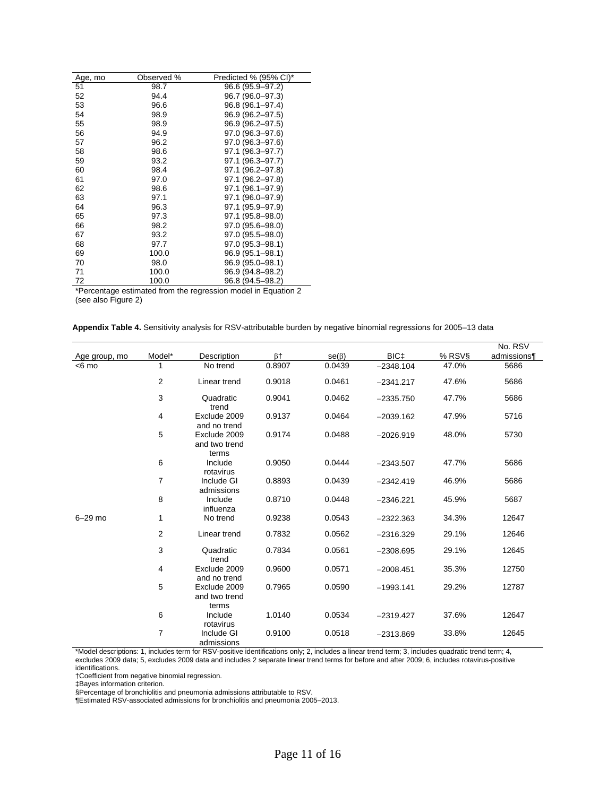| Age, mo | Observed % | Predicted % (95% CI)* |
|---------|------------|-----------------------|
| 51      | 98.7       | 96.6 (95.9–97.2)      |
| 52      | 94.4       | 96.7 (96.0–97.3)      |
| 53      | 96.6       | 96.8 (96.1–97.4)      |
| 54      | 98.9       | 96.9 (96.2-97.5)      |
| 55      | 98.9       | 96.9 (96.2-97.5)      |
| 56      | 94.9       | 97.0 (96.3–97.6)      |
| 57      | 96.2       | 97.0 (96.3–97.6)      |
| 58      | 98.6       | 97.1 (96.3-97.7)      |
| 59      | 93.2       | 97.1 (96.3–97.7)      |
| 60      | 98.4       | 97.1 (96.2–97.8)      |
| 61      | 97.0       | 97.1 (96.2–97.8)      |
| 62      | 98.6       | 97.1 (96.1-97.9)      |
| 63      | 97.1       | 97.1 (96.0-97.9)      |
| 64      | 96.3       | 97.1 (95.9-97.9)      |
| 65      | 97.3       | 97.1 (95.8–98.0)      |
| 66      | 98.2       | 97.0 (95.6-98.0)      |
| 67      | 93.2       | 97.0 (95.5–98.0)      |
| 68      | 97.7       | 97.0 (95.3–98.1)      |
| 69      | 100.0      | 96.9 (95.1-98.1)      |
| 70      | 98.0       | 96.9 (95.0-98.1)      |
| 71      | 100.0      | 96.9 (94.8–98.2)      |
| 72      | 100.0      | 96.8 (94.5–98.2)      |

\*Percentage estimated from the regression model in Equation 2 (see also Figure 2)

|  |  |  | Appendix Table 4. Sensitivity analysis for RSV-attributable burden by negative binomial regressions for 2005–13 data |
|--|--|--|----------------------------------------------------------------------------------------------------------------------|
|--|--|--|----------------------------------------------------------------------------------------------------------------------|

|               |        |                                        |                      |             |                  |        | No. RSV     |
|---------------|--------|----------------------------------------|----------------------|-------------|------------------|--------|-------------|
| Age group, mo | Model* | Description                            | $\beta$ <sup>+</sup> | $se(\beta)$ | BIC <sub>+</sub> | % RSV§ | admissions¶ |
| $< 6$ mo      | 1      | No trend                               | 0.8907               | 0.0439      | $-2348.104$      | 47.0%  | 5686        |
|               | 2      | Linear trend                           | 0.9018               | 0.0461      | $-2341.217$      | 47.6%  | 5686        |
|               | 3      | Quadratic<br>trend                     | 0.9041               | 0.0462      | $-2335.750$      | 47.7%  | 5686        |
|               | 4      | Exclude 2009<br>and no trend           | 0.9137               | 0.0464      | $-2039.162$      | 47.9%  | 5716        |
|               | 5      | Exclude 2009<br>and two trend<br>terms | 0.9174               | 0.0488      | $-2026.919$      | 48.0%  | 5730        |
|               | 6      | Include<br>rotavirus                   | 0.9050               | 0.0444      | $-2343.507$      | 47.7%  | 5686        |
|               | 7      | Include GI<br>admissions               | 0.8893               | 0.0439      | $-2342.419$      | 46.9%  | 5686        |
|               | 8      | Include<br>influenza                   | 0.8710               | 0.0448      | $-2346.221$      | 45.9%  | 5687        |
| $6-29$ mo     | 1      | No trend                               | 0.9238               | 0.0543      | $-2322.363$      | 34.3%  | 12647       |
|               | 2      | Linear trend                           | 0.7832               | 0.0562      | $-2316.329$      | 29.1%  | 12646       |
|               | 3      | Quadratic<br>trend                     | 0.7834               | 0.0561      | $-2308.695$      | 29.1%  | 12645       |
|               | 4      | Exclude 2009<br>and no trend           | 0.9600               | 0.0571      | $-2008.451$      | 35.3%  | 12750       |
|               | 5      | Exclude 2009<br>and two trend<br>terms | 0.7965               | 0.0590      | $-1993.141$      | 29.2%  | 12787       |
|               | 6      | Include<br>rotavirus                   | 1.0140               | 0.0534      | $-2319.427$      | 37.6%  | 12647       |
|               | 7      | Include GI<br>admissions               | 0.9100               | 0.0518      | $-2313.869$      | 33.8%  | 12645       |

\*Model descriptions: 1, includes term for RSV-positive identifications only; 2, includes a linear trend term; 3, includes quadratic trend term; 4, excludes 2009 data; 5, excludes 2009 data and includes 2 separate linear trend terms for before and after 2009; 6, includes rotavirus-positive identifications.

†Coefficient from negative binomial regression.

‡Bayes information criterion.

§Percentage of bronchiolitis and pneumonia admissions attributable to RSV. ¶Estimated RSV-associated admissions for bronchiolitis and pneumonia 2005–2013.

Page 11 of 16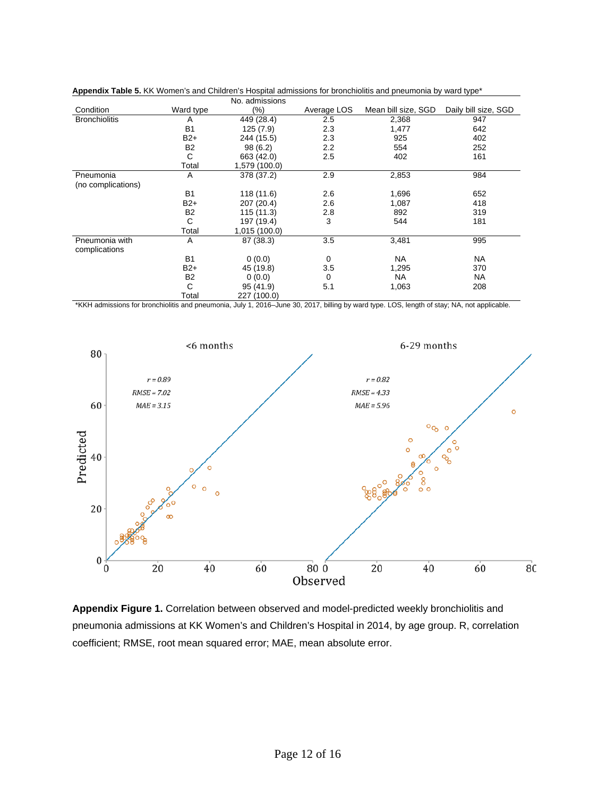|                                 |                | No. admissions |             |                     |                      |
|---------------------------------|----------------|----------------|-------------|---------------------|----------------------|
| Condition                       | Ward type      | $(\% )$        | Average LOS | Mean bill size, SGD | Daily bill size, SGD |
| <b>Bronchiolitis</b>            | A              | 449 (28.4)     | 2.5         | 2,368               | 947                  |
|                                 | B <sub>1</sub> | 125(7.9)       | 2.3         | 1,477               | 642                  |
|                                 | $B2+$          | 244 (15.5)     | 2.3         | 925                 | 402                  |
|                                 | <b>B2</b>      | 98(6.2)        | 2.2         | 554                 | 252                  |
|                                 | С              | 663 (42.0)     | 2.5         | 402                 | 161                  |
|                                 | Total          | 1,579 (100.0)  |             |                     |                      |
| Pneumonia                       | A              | 378 (37.2)     | 2.9         | 2,853               | 984                  |
| (no complications)              |                |                |             |                     |                      |
|                                 | <b>B1</b>      | 118 (11.6)     | 2.6         | 1,696               | 652                  |
|                                 | $B2+$          | 207 (20.4)     | 2.6         | 1,087               | 418                  |
|                                 | <b>B2</b>      | 115 (11.3)     | 2.8         | 892                 | 319                  |
|                                 | С              | 197 (19.4)     | 3           | 544                 | 181                  |
|                                 | Total          | 1,015 (100.0)  |             |                     |                      |
| Pneumonia with<br>complications | A              | 87 (38.3)      | 3.5         | 3,481               | 995                  |
|                                 | <b>B1</b>      | 0(0.0)         | 0           | NA                  | <b>NA</b>            |
|                                 | $B2+$          | 45 (19.8)      | 3.5         | 1,295               | 370                  |
|                                 | B <sub>2</sub> | 0(0.0)         | $\mathbf 0$ | NA                  | <b>NA</b>            |
|                                 | С              | 95 (41.9)      | 5.1         | 1,063               | 208                  |
|                                 | Total          | 227 (100.0)    |             |                     |                      |

**Appendix Table 5.** KK Women's and Children's Hospital admissions for bronchiolitis and pneumonia by ward type\*

\*KKH admissions for bronchiolitis and pneumonia, July 1, 2016–June 30, 2017, billing by ward type. LOS, length of stay; NA, not applicable.



**Appendix Figure 1.** Correlation between observed and model-predicted weekly bronchiolitis and pneumonia admissions at KK Women's and Children's Hospital in 2014, by age group. R, correlation coefficient; RMSE, root mean squared error; MAE, mean absolute error.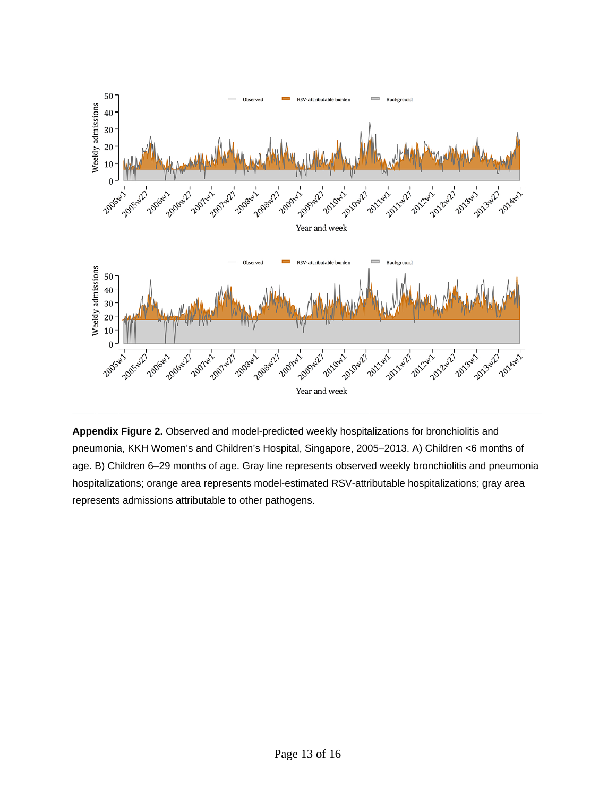

**Appendix Figure 2.** Observed and model-predicted weekly hospitalizations for bronchiolitis and pneumonia, KKH Women's and Children's Hospital, Singapore, 2005–2013. A) Children <6 months of age. B) Children 6–29 months of age. Gray line represents observed weekly bronchiolitis and pneumonia hospitalizations; orange area represents model-estimated RSV-attributable hospitalizations; gray area represents admissions attributable to other pathogens.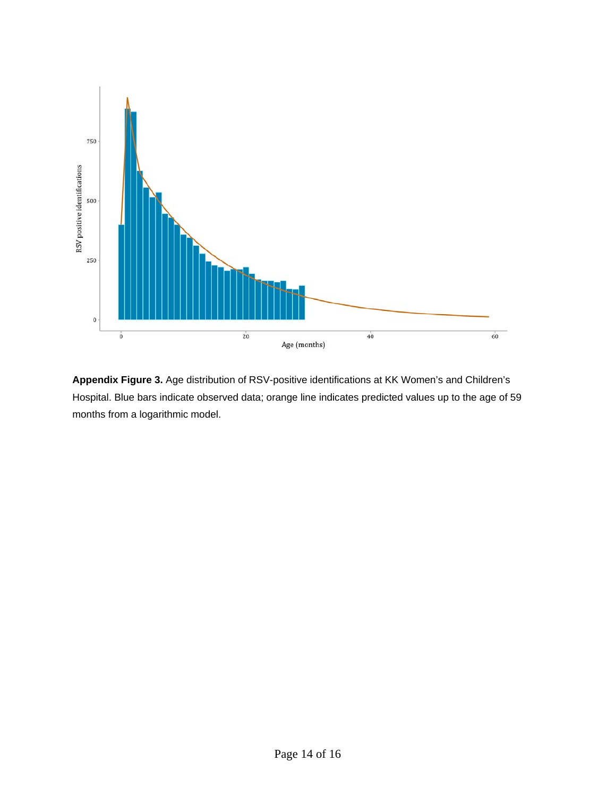

**Appendix Figure 3.** Age distribution of RSV-positive identifications at KK Women's and Children's Hospital. Blue bars indicate observed data; orange line indicates predicted values up to the age of 59 months from a logarithmic model.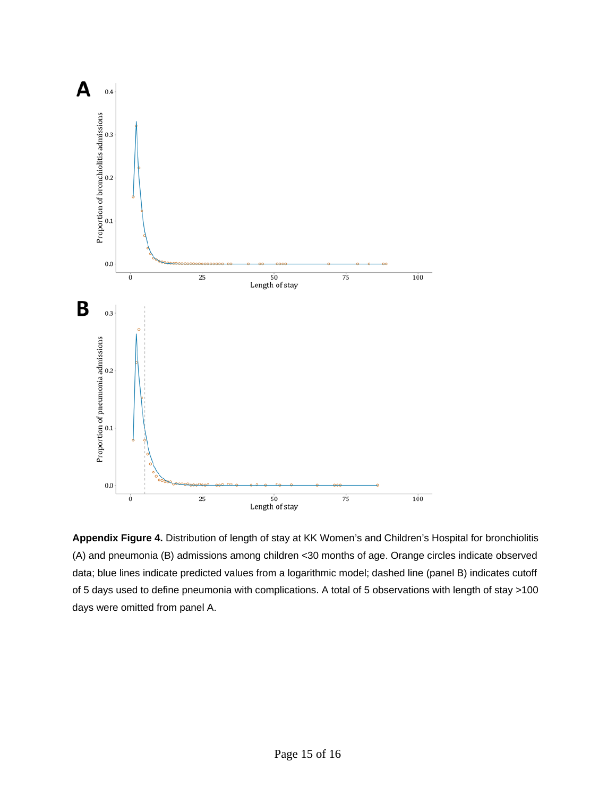

**Appendix Figure 4.** Distribution of length of stay at KK Women's and Children's Hospital for bronchiolitis (A) and pneumonia (B) admissions among children <30 months of age. Orange circles indicate observed data; blue lines indicate predicted values from a logarithmic model; dashed line (panel B) indicates cutoff of 5 days used to define pneumonia with complications. A total of 5 observations with length of stay >100 days were omitted from panel A.